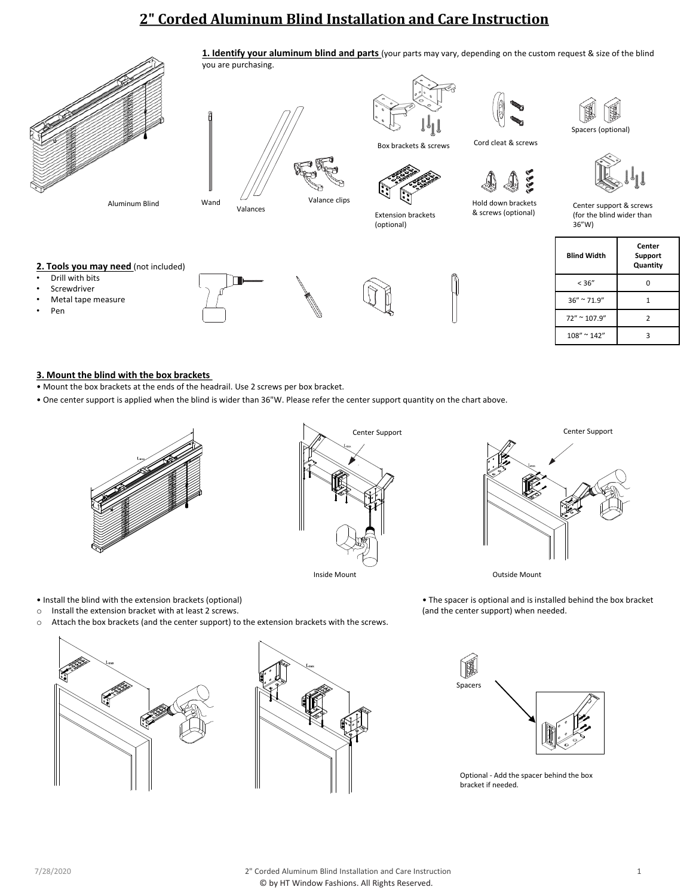# **2" Corded Aluminum Blind Installation and Care Instruction**



Aluminum Blind



you are purchasing.

Box brackets & screws

Extension brackets (optional)

**1. Identify your aluminum blind and parts** (your parts may vary, depending on the custom request & size of the blind





Cord cleat & screws



Hold down brackets & screws (optional)

Spacers (optional)



Center support & screws (for the blind wider than 36"W)

# **Blind Width Center Support Quantity**  $< 36"$  0  $36'' \approx 71.9''$  1  $72" \sim 107.9"$  2 108" ~ 142" 3

# **3. Mount the blind with the box brackets**

2. Tools you may need (not included)

- Mount the box brackets at the ends of the headrail. Use 2 screws per box bracket.
- One center support is applied when the blind is wider than 36"W. Please refer the center support quantity on the chart above.



Center Support Center Support

Inside Mount **Outside Mount** 

• The spacer is optional and is installed behind the box bracket (and the center support) when needed.



• Install the blind with the extension brackets (optional)





Optional - Add the spacer behind the box bracket if needed.

• Drill with bits **Screwdriver** • Metal tape measure

• Pen